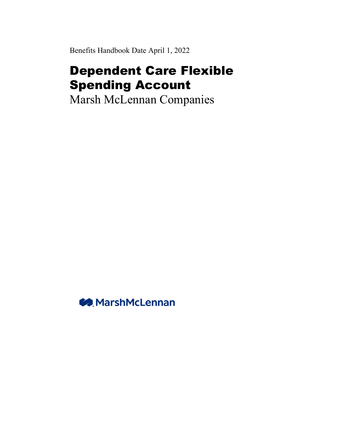Benefits Handbook Date April 1, 2022

# Dependent Care Flexible Spending Account

Marsh McLennan Companies

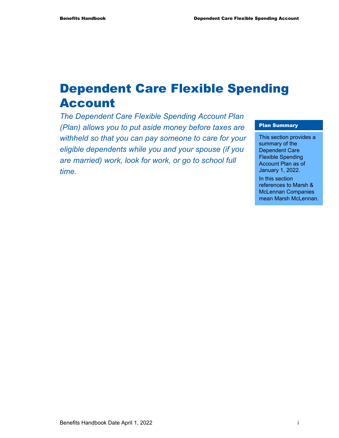# Dependent Care Flexible Spending Account

*The Dependent Care Flexible Spending Account Plan (Plan) allows you to put aside money before taxes are withheld so that you can pay someone to care for your eligible dependents while you and your spouse (if you are married) work, look for work, or go to school full time.* 

#### Plan Summary

This section provides a summary of the Dependent Care Flexible Spending Account Plan as of January 1, 2022. In this section references to Marsh & McLennan Companies

mean Marsh McLennan.

Benefits Handbook Date April 1, 2022 is a state of the state of the state of the state of the state of the state of the state of the state of the state of the state of the state of the state of the state of the state of th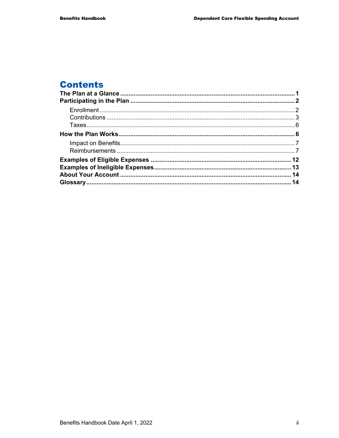# **Contents**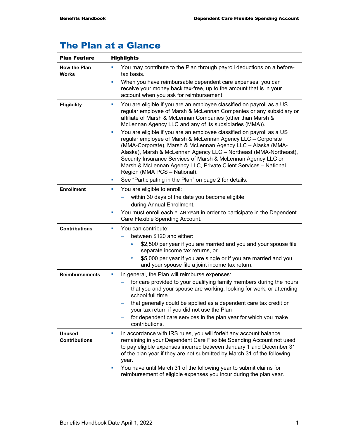# The Plan at a Glance

| <b>Plan Feature</b>                   | <b>Highlights</b>                                                                                                                                                                                                                                                                                                                                                                                                                                                                                                                                                                                                                                                                                                                                                                               |
|---------------------------------------|-------------------------------------------------------------------------------------------------------------------------------------------------------------------------------------------------------------------------------------------------------------------------------------------------------------------------------------------------------------------------------------------------------------------------------------------------------------------------------------------------------------------------------------------------------------------------------------------------------------------------------------------------------------------------------------------------------------------------------------------------------------------------------------------------|
| <b>How the Plan</b><br><b>Works</b>   | You may contribute to the Plan through payroll deductions on a before-<br>×<br>tax basis.<br>When you have reimbursable dependent care expenses, you can<br>$\blacksquare$<br>receive your money back tax-free, up to the amount that is in your                                                                                                                                                                                                                                                                                                                                                                                                                                                                                                                                                |
|                                       | account when you ask for reimbursement.                                                                                                                                                                                                                                                                                                                                                                                                                                                                                                                                                                                                                                                                                                                                                         |
| <b>Eligibility</b>                    | You are eligible if you are an employee classified on payroll as a US<br>×<br>regular employee of Marsh & McLennan Companies or any subsidiary or<br>affiliate of Marsh & McLennan Companies (other than Marsh &<br>McLennan Agency LLC and any of its subsidiaries (MMA)).<br>You are eligible if you are an employee classified on payroll as a US<br>ш<br>regular employee of Marsh & McLennan Agency LLC - Corporate<br>(MMA-Corporate), Marsh & McLennan Agency LLC - Alaska (MMA-<br>Alaska), Marsh & McLennan Agency LLC - Northeast (MMA-Northeast),<br>Security Insurance Services of Marsh & McLennan Agency LLC or<br>Marsh & McLennan Agency LLC, Private Client Services - National<br>Region (MMA PCS - National).<br>See "Participating in the Plan" on page 2 for details.<br>ш |
| <b>Enrollment</b>                     | You are eligible to enroll:<br>ш                                                                                                                                                                                                                                                                                                                                                                                                                                                                                                                                                                                                                                                                                                                                                                |
|                                       | within 30 days of the date you become eligible<br>during Annual Enrollment.<br>You must enroll each PLAN YEAR in order to participate in the Dependent<br>ш<br>Care Flexible Spending Account.                                                                                                                                                                                                                                                                                                                                                                                                                                                                                                                                                                                                  |
| <b>Contributions</b>                  | You can contribute:<br>ш                                                                                                                                                                                                                                                                                                                                                                                                                                                                                                                                                                                                                                                                                                                                                                        |
|                                       | between \$120 and either:                                                                                                                                                                                                                                                                                                                                                                                                                                                                                                                                                                                                                                                                                                                                                                       |
|                                       | \$2,500 per year if you are married and you and your spouse file<br>O<br>separate income tax returns, or                                                                                                                                                                                                                                                                                                                                                                                                                                                                                                                                                                                                                                                                                        |
|                                       | \$5,000 per year if you are single or if you are married and you<br>$\Box$<br>and your spouse file a joint income tax return.                                                                                                                                                                                                                                                                                                                                                                                                                                                                                                                                                                                                                                                                   |
| <b>Reimbursements</b>                 | In general, the Plan will reimburse expenses:<br>п                                                                                                                                                                                                                                                                                                                                                                                                                                                                                                                                                                                                                                                                                                                                              |
|                                       | for care provided to your qualifying family members during the hours<br>that you and your spouse are working, looking for work, or attending<br>school full time                                                                                                                                                                                                                                                                                                                                                                                                                                                                                                                                                                                                                                |
|                                       | that generally could be applied as a dependent care tax credit on<br>your tax return if you did not use the Plan                                                                                                                                                                                                                                                                                                                                                                                                                                                                                                                                                                                                                                                                                |
|                                       | for dependent care services in the plan year for which you make<br>contributions.                                                                                                                                                                                                                                                                                                                                                                                                                                                                                                                                                                                                                                                                                                               |
| <b>Unused</b><br><b>Contributions</b> | In accordance with IRS rules, you will forfeit any account balance<br>remaining in your Dependent Care Flexible Spending Account not used<br>to pay eligible expenses incurred between January 1 and December 31<br>of the plan year if they are not submitted by March 31 of the following<br>year.                                                                                                                                                                                                                                                                                                                                                                                                                                                                                            |
|                                       | You have until March 31 of the following year to submit claims for<br>$\blacksquare$<br>reimbursement of eligible expenses you incur during the plan year.                                                                                                                                                                                                                                                                                                                                                                                                                                                                                                                                                                                                                                      |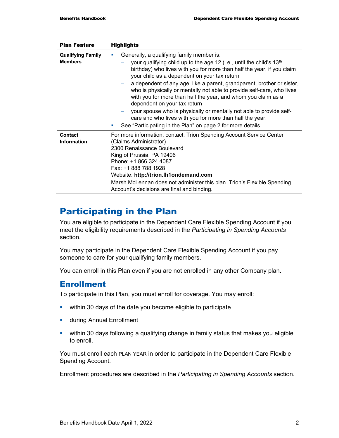| <b>Plan Feature</b>                        | <b>Highlights</b>                                                                                                                                                                                                                                                                                                                                                                                                                                                                                                  |
|--------------------------------------------|--------------------------------------------------------------------------------------------------------------------------------------------------------------------------------------------------------------------------------------------------------------------------------------------------------------------------------------------------------------------------------------------------------------------------------------------------------------------------------------------------------------------|
| <b>Qualifying Family</b><br><b>Members</b> | Generally, a qualifying family member is:<br>a.<br>your qualifying child up to the age 12 (i.e., until the child's 13 <sup>th</sup><br>birthday) who lives with you for more than half the year, if you claim<br>your child as a dependent on your tax return<br>a dependent of any age, like a parent, grandparent, brother or sister,<br>who is physically or mentally not able to provide self-care, who lives<br>with you for more than half the year, and whom you claim as a<br>dependent on your tax return |
|                                            | your spouse who is physically or mentally not able to provide self-<br>care and who lives with you for more than half the year.<br>See "Participating in the Plan" on page 2 for more details.<br>ш                                                                                                                                                                                                                                                                                                                |
| <b>Contact</b><br><b>Information</b>       | For more information, contact: Trion Spending Account Service Center<br>(Claims Administrator)<br>2300 Renaissance Boulevard<br>King of Prussia, PA 19406<br>Phone: +1 866 324 4087<br>Fax: +1 888 788 1928<br>Website: http://trion.lh1ondemand.com<br>Marsh McLennan does not administer this plan. Trion's Flexible Spending<br>Account's decisions are final and binding.                                                                                                                                      |

## Participating in the Plan

You are eligible to participate in the Dependent Care Flexible Spending Account if you meet the eligibility requirements described in the *Participating in Spending Accounts*  section.

You may participate in the Dependent Care Flexible Spending Account if you pay someone to care for your qualifying family members.

You can enroll in this Plan even if you are not enrolled in any other Company plan.

#### **Enrollment**

To participate in this Plan, you must enroll for coverage. You may enroll:

- **•** within 30 days of the date you become eligible to participate
- **u.** during Annual Enrollment
- within 30 days following a qualifying change in family status that makes you eligible to enroll.

You must enroll each PLAN YEAR in order to participate in the Dependent Care Flexible Spending Account.

Enrollment procedures are described in the *Participating in Spending Accounts* section.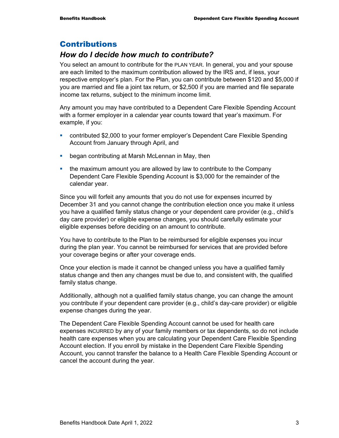#### **Contributions**

#### *How do I decide how much to contribute?*

You select an amount to contribute for the PLAN YEAR. In general, you and your spouse are each limited to the maximum contribution allowed by the IRS and, if less, your respective employer's plan. For the Plan, you can contribute between \$120 and \$5,000 if you are married and file a joint tax return, or \$2,500 if you are married and file separate income tax returns, subject to the minimum income limit.

Any amount you may have contributed to a Dependent Care Flexible Spending Account with a former employer in a calendar year counts toward that year's maximum. For example, if you:

- contributed \$2,000 to your former employer's Dependent Care Flexible Spending Account from January through April, and
- **•** began contributing at Marsh McLennan in May, then
- **the maximum amount you are allowed by law to contribute to the Company** Dependent Care Flexible Spending Account is \$3,000 for the remainder of the calendar year.

Since you will forfeit any amounts that you do not use for expenses incurred by December 31 and you cannot change the contribution election once you make it unless you have a qualified family status change or your dependent care provider (e.g., child's day care provider) or eligible expense changes, you should carefully estimate your eligible expenses before deciding on an amount to contribute.

You have to contribute to the Plan to be reimbursed for eligible expenses you incur during the plan year. You cannot be reimbursed for services that are provided before your coverage begins or after your coverage ends.

Once your election is made it cannot be changed unless you have a qualified family status change and then any changes must be due to, and consistent with, the qualified family status change.

Additionally, although not a qualified family status change, you can change the amount you contribute if your dependent care provider (e.g., child's day-care provider) or eligible expense changes during the year.

The Dependent Care Flexible Spending Account cannot be used for health care expenses INCURRED by any of your family members or tax dependents, so do not include health care expenses when you are calculating your Dependent Care Flexible Spending Account election. If you enroll by mistake in the Dependent Care Flexible Spending Account, you cannot transfer the balance to a Health Care Flexible Spending Account or cancel the account during the year.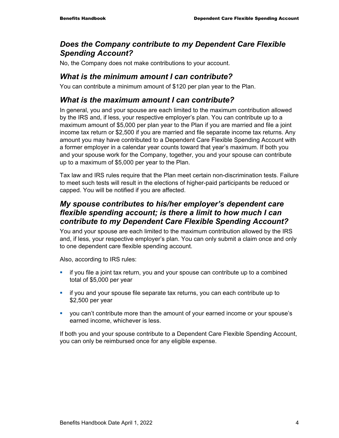#### *Does the Company contribute to my Dependent Care Flexible Spending Account?*

No, the Company does not make contributions to your account.

#### *What is the minimum amount I can contribute?*

You can contribute a minimum amount of \$120 per plan year to the Plan.

#### *What is the maximum amount I can contribute?*

In general, you and your spouse are each limited to the maximum contribution allowed by the IRS and, if less, your respective employer's plan. You can contribute up to a maximum amount of \$5,000 per plan year to the Plan if you are married and file a joint income tax return or \$2,500 if you are married and file separate income tax returns. Any amount you may have contributed to a Dependent Care Flexible Spending Account with a former employer in a calendar year counts toward that year's maximum. If both you and your spouse work for the Company, together, you and your spouse can contribute up to a maximum of \$5,000 per year to the Plan.

Tax law and IRS rules require that the Plan meet certain non-discrimination tests. Failure to meet such tests will result in the elections of higher-paid participants be reduced or capped. You will be notified if you are affected.

#### *My spouse contributes to his/her employer's dependent care flexible spending account; is there a limit to how much I can contribute to my Dependent Care Flexible Spending Account?*

You and your spouse are each limited to the maximum contribution allowed by the IRS and, if less, your respective employer's plan. You can only submit a claim once and only to one dependent care flexible spending account.

Also, according to IRS rules:

- **i** if you file a joint tax return, you and your spouse can contribute up to a combined total of \$5,000 per year
- if you and your spouse file separate tax returns, you can each contribute up to \$2,500 per year
- you can't contribute more than the amount of your earned income or your spouse's earned income, whichever is less.

If both you and your spouse contribute to a Dependent Care Flexible Spending Account, you can only be reimbursed once for any eligible expense.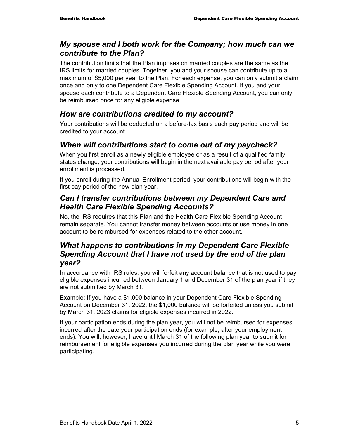#### *My spouse and I both work for the Company; how much can we contribute to the Plan?*

The contribution limits that the Plan imposes on married couples are the same as the IRS limits for married couples. Together, you and your spouse can contribute up to a maximum of \$5,000 per year to the Plan. For each expense, you can only submit a claim once and only to one Dependent Care Flexible Spending Account. If you and your spouse each contribute to a Dependent Care Flexible Spending Account, you can only be reimbursed once for any eligible expense.

#### *How are contributions credited to my account?*

Your contributions will be deducted on a before-tax basis each pay period and will be credited to your account.

### *When will contributions start to come out of my paycheck?*

When you first enroll as a newly eligible employee or as a result of a qualified family status change, your contributions will begin in the next available pay period after your enrollment is processed.

If you enroll during the Annual Enrollment period, your contributions will begin with the first pay period of the new plan year.

#### *Can I transfer contributions between my Dependent Care and Health Care Flexible Spending Accounts?*

No, the IRS requires that this Plan and the Health Care Flexible Spending Account remain separate. You cannot transfer money between accounts or use money in one account to be reimbursed for expenses related to the other account.

#### *What happens to contributions in my Dependent Care Flexible Spending Account that I have not used by the end of the plan year?*

In accordance with IRS rules, you will forfeit any account balance that is not used to pay eligible expenses incurred between January 1 and December 31 of the plan year if they are not submitted by March 31.

Example: If you have a \$1,000 balance in your Dependent Care Flexible Spending Account on December 31, 2022, the \$1,000 balance will be forfeited unless you submit by March 31, 2023 claims for eligible expenses incurred in 2022.

If your participation ends during the plan year, you will not be reimbursed for expenses incurred after the date your participation ends (for example, after your employment ends). You will, however, have until March 31 of the following plan year to submit for reimbursement for eligible expenses you incurred during the plan year while you were participating.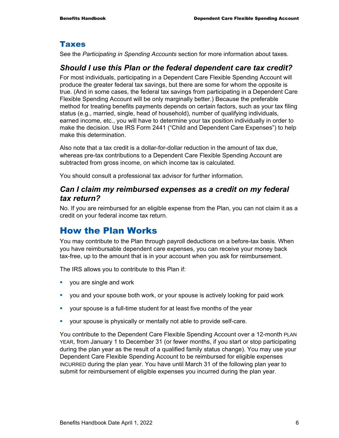#### **Taxes**

See the *Participating in Spending Accounts* section for more information about taxes.

#### *Should I use this Plan or the federal dependent care tax credit?*

For most individuals, participating in a Dependent Care Flexible Spending Account will produce the greater federal tax savings, but there are some for whom the opposite is true. (And in some cases, the federal tax savings from participating in a Dependent Care Flexible Spending Account will be only marginally better.) Because the preferable method for treating benefits payments depends on certain factors, such as your tax filing status (e.g., married, single, head of household), number of qualifying individuals, earned income, etc., you will have to determine your tax position individually in order to make the decision. Use IRS Form 2441 ("Child and Dependent Care Expenses") to help make this determination.

Also note that a tax credit is a dollar-for-dollar reduction in the amount of tax due, whereas pre-tax contributions to a Dependent Care Flexible Spending Account are subtracted from gross income, on which income tax is calculated.

You should consult a professional tax advisor for further information.

#### *Can I claim my reimbursed expenses as a credit on my federal tax return?*

No. If you are reimbursed for an eligible expense from the Plan, you can not claim it as a credit on your federal income tax return.

### How the Plan Works

You may contribute to the Plan through payroll deductions on a before-tax basis. When you have reimbursable dependent care expenses, you can receive your money back tax-free, up to the amount that is in your account when you ask for reimbursement.

The IRS allows you to contribute to this Plan if:

- vou are single and work
- you and your spouse both work, or your spouse is actively looking for paid work
- your spouse is a full-time student for at least five months of the year
- your spouse is physically or mentally not able to provide self-care.

You contribute to the Dependent Care Flexible Spending Account over a 12-month PLAN YEAR, from January 1 to December 31 (or fewer months, if you start or stop participating during the plan year as the result of a qualified family status change). You may use your Dependent Care Flexible Spending Account to be reimbursed for eligible expenses INCURRED during the plan year. You have until March 31 of the following plan year to submit for reimbursement of eligible expenses you incurred during the plan year.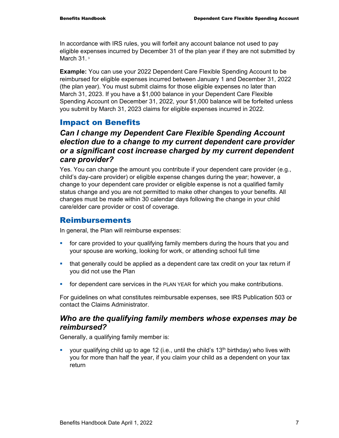In accordance with IRS rules, you will forfeit any account balance not used to pay eligible expenses incurred by December 31 of the plan year if they are not submitted by March 31.<sup>3</sup>

**Example:** You can use your 2022 Dependent Care Flexible Spending Account to be reimbursed for eligible expenses incurred between January 1 and December 31, 2022 (the plan year). You must submit claims for those eligible expenses no later than March 31, 2023. If you have a \$1,000 balance in your Dependent Care Flexible Spending Account on December 31, 2022, your \$1,000 balance will be forfeited unless you submit by March 31, 2023 claims for eligible expenses incurred in 2022.

#### Impact on Benefits

#### *Can I change my Dependent Care Flexible Spending Account election due to a change to my current dependent care provider or a significant cost increase charged by my current dependent care provider?*

Yes. You can change the amount you contribute if your dependent care provider (e.g., child's day-care provider) or eligible expense changes during the year; however, a change to your dependent care provider or eligible expense is not a qualified family status change and you are not permitted to make other changes to your benefits. All changes must be made within 30 calendar days following the change in your child care/elder care provider or cost of coverage.

#### Reimbursements

In general, the Plan will reimburse expenses:

- **for care provided to your qualifying family members during the hours that you and** your spouse are working, looking for work, or attending school full time
- that generally could be applied as a dependent care tax credit on your tax return if you did not use the Plan
- **for dependent care services in the PLAN YEAR for which you make contributions.**

For guidelines on what constitutes reimbursable expenses, see IRS Publication 503 or contact the Claims Administrator.

#### *Who are the qualifying family members whose expenses may be reimbursed?*

Generally, a qualifying family member is:

 your qualifying child up to age 12 (i.e., until the child's 13th birthday) who lives with you for more than half the year, if you claim your child as a dependent on your tax return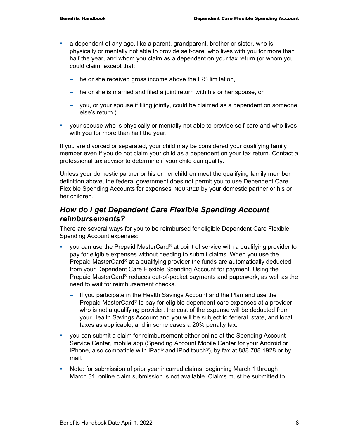- a dependent of any age, like a parent, grandparent, brother or sister, who is physically or mentally not able to provide self-care, who lives with you for more than half the year, and whom you claim as a dependent on your tax return (or whom you could claim, except that:
	- − he or she received gross income above the IRS limitation,
	- − he or she is married and filed a joint return with his or her spouse, or
	- − you, or your spouse if filing jointly, could be claimed as a dependent on someone else's return.)
- your spouse who is physically or mentally not able to provide self-care and who lives with you for more than half the year.

If you are divorced or separated, your child may be considered your qualifying family member even if you do not claim your child as a dependent on your tax return. Contact a professional tax advisor to determine if your child can qualify.

Unless your domestic partner or his or her children meet the qualifying family member definition above, the federal government does not permit you to use Dependent Care Flexible Spending Accounts for expenses INCURRED by your domestic partner or his or her children.

#### *How do I get Dependent Care Flexible Spending Account reimbursements?*

There are several ways for you to be reimbursed for eligible Dependent Care Flexible Spending Account expenses:

- vou can use the Prepaid MasterCard® at point of service with a qualifying provider to pay for eligible expenses without needing to submit claims. When you use the Prepaid MasterCard® at a qualifying provider the funds are automatically deducted from your Dependent Care Flexible Spending Account for payment. Using the Prepaid MasterCard® reduces out-of-pocket payments and paperwork, as well as the need to wait for reimbursement checks.
	- If you participate in the Health Savings Account and the Plan and use the Prepaid MasterCard® to pay for eligible dependent care expenses at a provider who is not a qualifying provider, the cost of the expense will be deducted from your Health Savings Account and you will be subject to federal, state, and local taxes as applicable, and in some cases a 20% penalty tax.
- you can submit a claim for reimbursement either online at the Spending Account Service Center, mobile app (Spending Account Mobile Center for your Android or iPhone, also compatible with iPad® and iPod touch®), by fax at 888 788 1928 or by mail.
- Note: for submission of prior year incurred claims, beginning March 1 through March 31, online claim submission is not available. Claims must be submitted to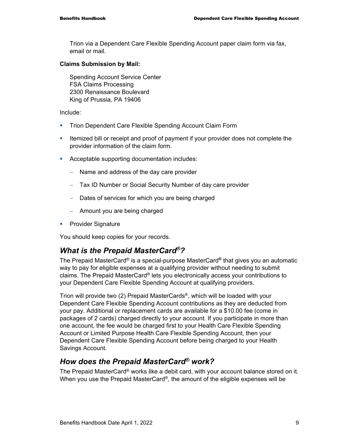Trion via a Dependent Care Flexible Spending Account paper claim form via fax, email or mail.

#### **Claims Submission by Mail:**

Spending Account Service Center FSA Claims Processing 2300 Renaissance Boulevard King of Prussia, PA 19406

Include:

- **Trion Dependent Care Flexible Spending Account Claim Form**
- Itemized bill or receipt and proof of payment if your provider does not complete the provider information of the claim form.
- **Acceptable supporting documentation includes:** 
	- − Name and address of the day care provider
	- − Tax ID Number or Social Security Number of day care provider
	- − Dates of services for which you are being charged
	- − Amount you are being charged
- **Provider Signature**

You should keep copies for your records.

#### *What is the Prepaid MasterCard®?*

The Prepaid MasterCard® is a special-purpose MasterCard**®** that gives you an automatic way to pay for eligible expenses at a qualifying provider without needing to submit claims. The Prepaid MasterCard® lets you electronically access your contributions to your Dependent Care Flexible Spending Account at qualifying providers.

Trion will provide two (2) Prepaid MasterCards®, which will be loaded with your Dependent Care Flexible Spending Account contributions as they are deducted from your pay. Additional or replacement cards are available for a \$10.00 fee (come in packages of 2 cards) charged directly to your account. If you participate in more than one account, the fee would be charged first to your Health Care Flexible Spending Account or Limited Purpose Health Care Flexible Spending Account, then your Dependent Care Flexible Spending Account before being charged to your Health Savings Account.

#### *How does the Prepaid MasterCard® work?*

The Prepaid MasterCard® works like a debit card, with your account balance stored on it. When you use the Prepaid MasterCard®, the amount of the eligible expenses will be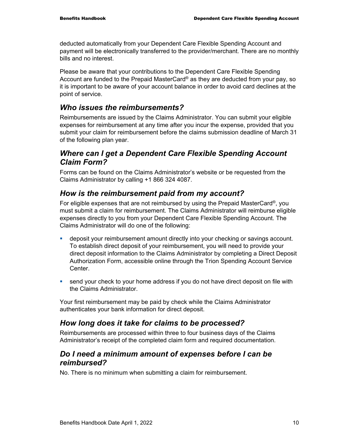deducted automatically from your Dependent Care Flexible Spending Account and payment will be electronically transferred to the provider/merchant. There are no monthly bills and no interest.

Please be aware that your contributions to the Dependent Care Flexible Spending Account are funded to the Prepaid MasterCard® as they are deducted from your pay, so it is important to be aware of your account balance in order to avoid card declines at the point of service.

#### *Who issues the reimbursements?*

Reimbursements are issued by the Claims Administrator. You can submit your eligible expenses for reimbursement at any time after you incur the expense, provided that you submit your claim for reimbursement before the claims submission deadline of March 31 of the following plan year.

#### *Where can I get a Dependent Care Flexible Spending Account Claim Form?*

Forms can be found on the Claims Administrator's website or be requested from the Claims Administrator by calling +1 866 324 4087.

#### *How is the reimbursement paid from my account?*

For eligible expenses that are not reimbursed by using the Prepaid MasterCard®, you must submit a claim for reimbursement. The Claims Administrator will reimburse eligible expenses directly to you from your Dependent Care Flexible Spending Account. The Claims Administrator will do one of the following:

- deposit your reimbursement amount directly into your checking or savings account. To establish direct deposit of your reimbursement, you will need to provide your direct deposit information to the Claims Administrator by completing a Direct Deposit Authorization Form, accessible online through the Trion Spending Account Service Center.
- send your check to your home address if you do not have direct deposit on file with the Claims Administrator.

Your first reimbursement may be paid by check while the Claims Administrator authenticates your bank information for direct deposit.

### *How long does it take for claims to be processed?*

Reimbursements are processed within three to four business days of the Claims Administrator's receipt of the completed claim form and required documentation.

#### *Do I need a minimum amount of expenses before I can be reimbursed?*

No. There is no minimum when submitting a claim for reimbursement.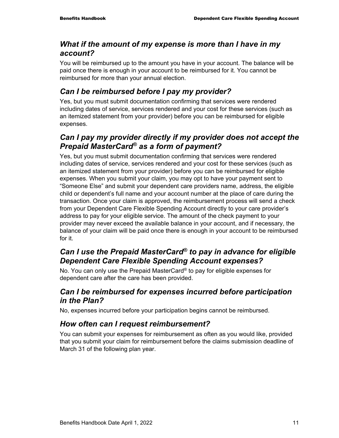#### *What if the amount of my expense is more than I have in my account?*

You will be reimbursed up to the amount you have in your account. The balance will be paid once there is enough in your account to be reimbursed for it. You cannot be reimbursed for more than your annual election.

#### *Can I be reimbursed before I pay my provider?*

Yes, but you must submit documentation confirming that services were rendered including dates of service, services rendered and your cost for these services (such as an itemized statement from your provider) before you can be reimbursed for eligible expenses.

#### *Can I pay my provider directly if my provider does not accept the Prepaid MasterCard® as a form of payment?*

Yes, but you must submit documentation confirming that services were rendered including dates of service, services rendered and your cost for these services (such as an itemized statement from your provider) before you can be reimbursed for eligible expenses. When you submit your claim, you may opt to have your payment sent to "Someone Else" and submit your dependent care providers name, address, the eligible child or dependent's full name and your account number at the place of care during the transaction. Once your claim is approved, the reimbursement process will send a check from your Dependent Care Flexible Spending Account directly to your care provider's address to pay for your eligible service. The amount of the check payment to your provider may never exceed the available balance in your account, and if necessary, the balance of your claim will be paid once there is enough in your account to be reimbursed for it.

### *Can I use the Prepaid MasterCard® to pay in advance for eligible Dependent Care Flexible Spending Account expenses?*

No. You can only use the Prepaid MasterCard® to pay for eligible expenses for dependent care after the care has been provided.

#### *Can I be reimbursed for expenses incurred before participation in the Plan?*

No, expenses incurred before your participation begins cannot be reimbursed.

#### *How often can I request reimbursement?*

You can submit your expenses for reimbursement as often as you would like, provided that you submit your claim for reimbursement before the claims submission deadline of March 31 of the following plan year.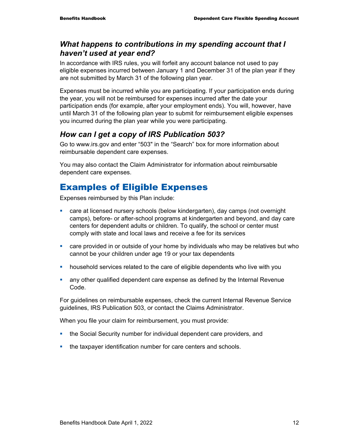#### *What happens to contributions in my spending account that I haven't used at year end?*

In accordance with IRS rules, you will forfeit any account balance not used to pay eligible expenses incurred between January 1 and December 31 of the plan year if they are not submitted by March 31 of the following plan year.

Expenses must be incurred while you are participating. If your participation ends during the year, you will not be reimbursed for expenses incurred after the date your participation ends (for example, after your employment ends). You will, however, have until March 31 of the following plan year to submit for reimbursement eligible expenses you incurred during the plan year while you were participating.

### *How can I get a copy of IRS Publication 503?*

Go to www.irs.gov and enter "503" in the "Search" box for more information about reimbursable dependent care expenses.

You may also contact the Claim Administrator for information about reimbursable dependent care expenses.

## Examples of Eligible Expenses

Expenses reimbursed by this Plan include:

- care at licensed nursery schools (below kindergarten), day camps (not overnight camps), before- or after-school programs at kindergarten and beyond, and day care centers for dependent adults or children. To qualify, the school or center must comply with state and local laws and receive a fee for its services
- care provided in or outside of your home by individuals who may be relatives but who cannot be your children under age 19 or your tax dependents
- **•** household services related to the care of eligible dependents who live with you
- any other qualified dependent care expense as defined by the Internal Revenue Code.

For guidelines on reimbursable expenses, check the current Internal Revenue Service guidelines, IRS Publication 503, or contact the Claims Administrator.

When you file your claim for reimbursement, you must provide:

- **the Social Security number for individual dependent care providers, and**
- the taxpayer identification number for care centers and schools.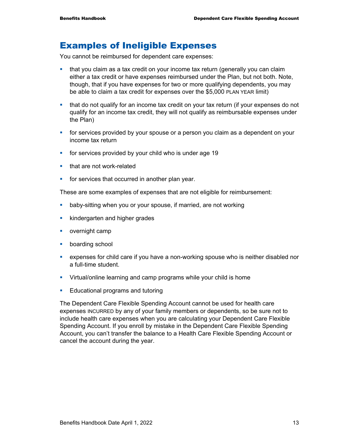### Examples of Ineligible Expenses

You cannot be reimbursed for dependent care expenses:

- that you claim as a tax credit on your income tax return (generally you can claim either a tax credit or have expenses reimbursed under the Plan, but not both. Note, though, that if you have expenses for two or more qualifying dependents, you may be able to claim a tax credit for expenses over the \$5,000 PLAN YEAR limit)
- that do not qualify for an income tax credit on your tax return (if your expenses do not qualify for an income tax credit, they will not qualify as reimbursable expenses under the Plan)
- **for services provided by your spouse or a person you claim as a dependent on your** income tax return
- **for services provided by your child who is under age 19**
- **that are not work-related**
- **for services that occurred in another plan year.**

These are some examples of expenses that are not eligible for reimbursement:

- **•** baby-sitting when you or your spouse, if married, are not working
- **Kindergarten and higher grades**
- **•** overnight camp
- **boarding school**
- expenses for child care if you have a non-working spouse who is neither disabled nor a full-time student.
- Virtual/online learning and camp programs while your child is home
- **Educational programs and tutoring**

The Dependent Care Flexible Spending Account cannot be used for health care expenses INCURRED by any of your family members or dependents, so be sure not to include health care expenses when you are calculating your Dependent Care Flexible Spending Account. If you enroll by mistake in the Dependent Care Flexible Spending Account, you can't transfer the balance to a Health Care Flexible Spending Account or cancel the account during the year.